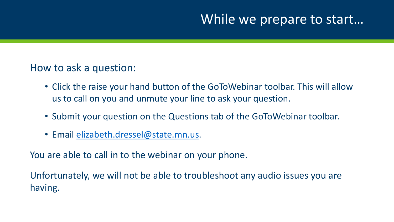## While we prepare to start…

### How to ask a question:

- Click the raise your hand button of the GoToWebinar toolbar. This will allow us to call on you and unmute your line to ask your question.
- Submit your question on the Questions tab of the GoToWebinar toolbar.
- Email [elizabeth.dressel@state.mn.us.](mailto:eric.grumdahl@state.mn.us)

You are able to call in to the webinar on your phone.

Unfortunately, we will not be able to troubleshoot any audio issues you are having.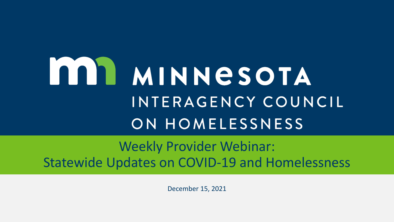# **MINNESOTA** INTERAGENCY COUNCIL ON HOMELESSNESS

## Weekly Provider Webinar: Statewide Updates on COVID-19 and Homelessness

December 15, 2021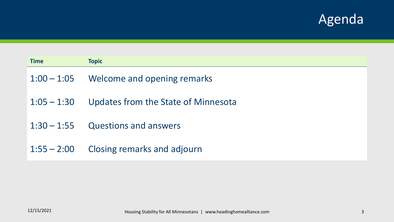## Agenda

| <b>Time</b>   | <b>Topic</b>                        |
|---------------|-------------------------------------|
| $1:00 - 1:05$ | Welcome and opening remarks         |
| $1:05 - 1:30$ | Updates from the State of Minnesota |
| $1:30 - 1:55$ | <b>Questions and answers</b>        |
| $1:55 - 2:00$ | <b>Closing remarks and adjourn</b>  |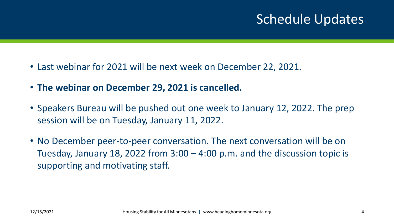## Schedule Updates

- Last webinar for 2021 will be next week on December 22, 2021.
- **The webinar on December 29, 2021 is cancelled.**
- Speakers Bureau will be pushed out one week to January 12, 2022. The prep session will be on Tuesday, January 11, 2022.
- No December peer-to-peer conversation. The next conversation will be on Tuesday, January 18, 2022 from 3:00 – 4:00 p.m. and the discussion topic is supporting and motivating staff.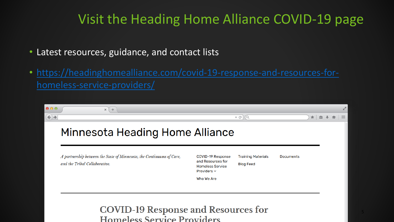## Visit the Heading Home Alliance COVID-19 page

- Latest resources, guidance, and contact lists
- [https://headinghomealliance.com/covid-19-response-and-resources-for](https://headinghomealliance.com/covid-19-response-and-resources-for-homeless-service-providers/)homeless-service-providers/

| 000               | ÷.<br>$\times$                                                                                         |                                                                                       |                                               |                  |    |              | <b>Artist</b>        |
|-------------------|--------------------------------------------------------------------------------------------------------|---------------------------------------------------------------------------------------|-----------------------------------------------|------------------|----|--------------|----------------------|
| $\leftrightarrow$ |                                                                                                        |                                                                                       | $\triangledown$ $\alpha$<br>$\alpha$          |                  | ★直 | $\Downarrow$ | $\hat{\mathbf{n}}$ = |
|                   | Minnesota Heading Home Alliance                                                                        |                                                                                       |                                               |                  |    |              |                      |
|                   | A partnership between the State of Minnesota, the Continuums of Care,<br>and the Tribal Collaborative. | COVID-19 Response<br>and Resources for<br><b>Homeless Service</b><br>Providers $\sim$ | <b>Training Materials</b><br><b>Blog Feed</b> | <b>Documents</b> |    |              |                      |
|                   |                                                                                                        | Who We Are                                                                            |                                               |                  |    |              |                      |

**COVID-19 Response and Resources for** Homeless Service Providers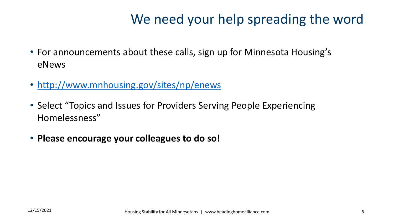## We need your help spreading the word

- For announcements about these calls, sign up for Minnesota Housing's eNews
- <http://www.mnhousing.gov/sites/np/enews>
- Select "Topics and Issues for Providers Serving People Experiencing Homelessness"
- **Please encourage your colleagues to do so!**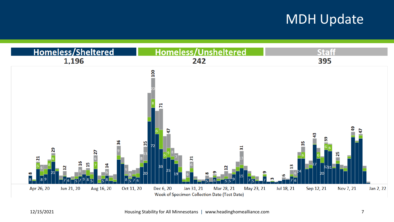## MDH Update

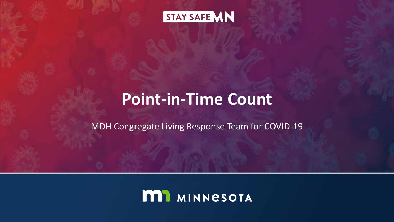

## **Point-in-Time Count**

MDH Congregate Living Response Team for COVID-19

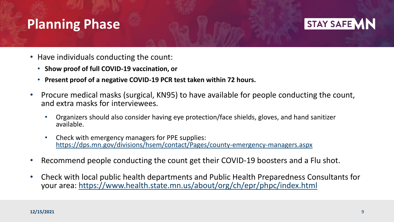## **Planning Phase**



- Have individuals conducting the count:
	- **Show proof of full COVID-19 vaccination, or**
	- **Present proof of a negative COVID-19 PCR test taken within 72 hours.**
- Procure medical masks (surgical, KN95) to have available for people conducting the count, and extra masks for interviewees.
	- Organizers should also consider having eye protection/face shields, gloves, and hand sanitizer available.
	- Check with emergency managers for PPE supplies: <https://dps.mn.gov/divisions/hsem/contact/Pages/county-emergency-managers.aspx>
- Recommend people conducting the count get their COVID-19 boosters and a Flu shot.
- Check with local public health departments and Public Health Preparedness Consultants for your area: <https://www.health.state.mn.us/about/org/ch/epr/phpc/index.html>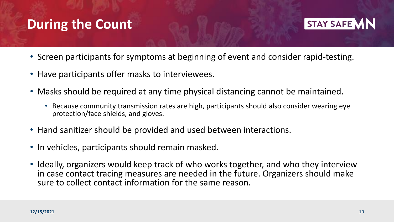## **During the Count**



- Screen participants for symptoms at beginning of event and consider rapid-testing.
- Have participants offer masks to interviewees.
- Masks should be required at any time physical distancing cannot be maintained.
	- Because community transmission rates are high, participants should also consider wearing eye protection/face shields, and gloves.
- Hand sanitizer should be provided and used between interactions.
- In vehicles, participants should remain masked.
- Ideally, organizers would keep track of who works together, and who they interview in case contact tracing measures are needed in the future. Organizers should make sure to collect contact information for the same reason.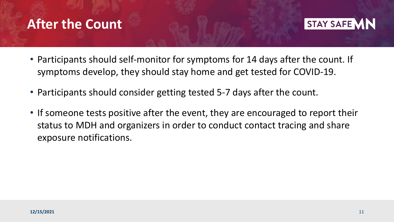## **After the Count**



- Participants should self-monitor for symptoms for 14 days after the count. If symptoms develop, they should stay home and get tested for COVID-19.
- Participants should consider getting tested 5-7 days after the count.
- If someone tests positive after the event, they are encouraged to report their status to MDH and organizers in order to conduct contact tracing and share exposure notifications.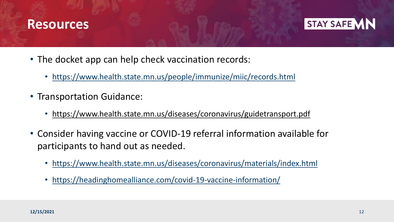### **Resources**



- The docket app can help check vaccination records:
	- <https://www.health.state.mn.us/people/immunize/miic/records.html>
- Transportation Guidance:
	- <https://www.health.state.mn.us/diseases/coronavirus/guidetransport.pdf>
- Consider having vaccine or COVID-19 referral information available for participants to hand out as needed.
	- <https://www.health.state.mn.us/diseases/coronavirus/materials/index.html>
	- <https://headinghomealliance.com/covid-19-vaccine-information/>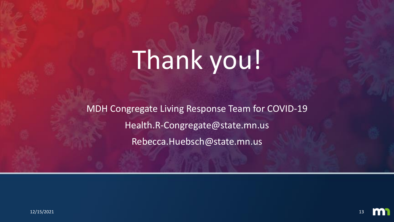# Thank you!

MDH Congregate Living Response Team for COVID-19 Health.R-Congregate@state.mn.us Rebecca.Huebsch@state.mn.us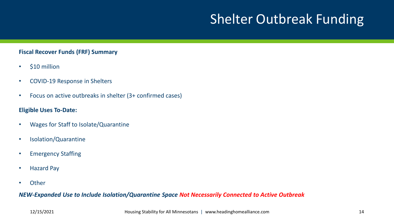## Shelter Outbreak Funding

#### **Fiscal Recover Funds (FRF) Summary**

- \$10 million
- COVID-19 Response in Shelters
- Focus on active outbreaks in shelter (3+ confirmed cases)

#### **Eligible Uses To-Date:**

- Wages for Staff to Isolate/Quarantine
- Isolation/Quarantine
- Emergency Staffing
- Hazard Pay
- Other

#### *NEW-Expanded Use to Include Isolation/Quarantine Space Not Necessarily Connected to Active Outbreak*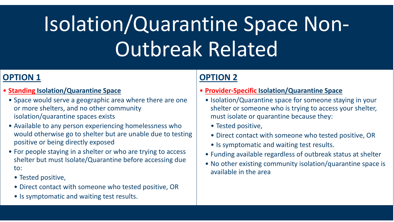# Isolation/Quarantine Space Non-Outbreak Related

### **OPTION 1**

- **Standing Isolation/Quarantine Space**
	- Space would serve a geographic area where there are one or more shelters, and no other community isolation/quarantine spaces exists
	- Available to any person experiencing homelessness who would otherwise go to shelter but are unable due to testing positive or being directly exposed
	- For people staying in a shelter or who are trying to access shelter but must Isolate/Quarantine before accessing due to:
		- Tested positive,
		- Direct contact with someone who tested positive, OR
		- Is symptomatic and waiting test results.

#### **OPTION 2**

- **Provider-Specific Isolation/Quarantine Space**
	- Isolation/Quarantine space for someone staying in your shelter or someone who is trying to access your shelter, must isolate or quarantine because they:
		- Tested positive,
		- Direct contact with someone who tested positive, OR
		- Is symptomatic and waiting test results.
	- Funding available regardless of outbreak status at shelter
	- No other existing community isolation/quarantine space is available in the area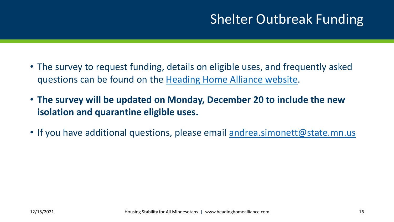## Shelter Outbreak Funding

- The survey to request funding, details on eligible uses, and frequently asked questions can be found on the [Heading Home Alliance website.](https://headinghomealliance.com/fiscal-recovery-funds/)
- **The survey will be updated on Monday, December 20 to include the new isolation and quarantine eligible uses.**
- If you have additional questions, please email [andrea.simonett@state.mn.us](mailto:andrea.simonett@state.mn.us)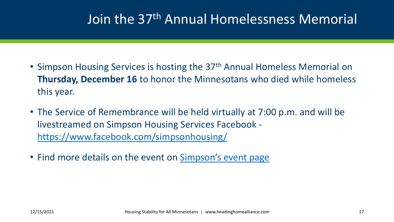## Join the 37th Annual Homelessness Memorial

- Simpson Housing Services is hosting the 37<sup>th</sup> Annual Homeless Memorial on **Thursday, December 16** to honor the Minnesotans who died while homeless this year.
- The Service of Remembrance will be held virtually at 7:00 p.m. and will be livestreamed on Simpson Housing Services Facebook <https://www.facebook.com/simpsonhousing/>
- Find more details on the event on [Simpson's event page](https://www.simpsonhousing.org/2021/12/11/37th-annual-homeless-memorial-march-service/)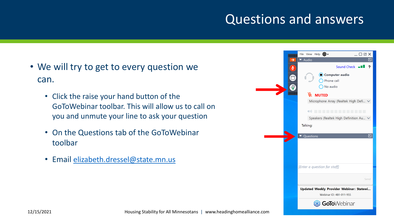## Questions and answers

- We will try to get to every question we can.
	- Click the raise your hand button of the GoToWebinar toolbar. This will allow us to call on you and unmute your line to ask your question
	- On the Questions tab of the GoToWebinar toolbar
	- Email [elizabeth.dressel@state.mn.us](mailto:eric.grumdahl@state.mn.us)